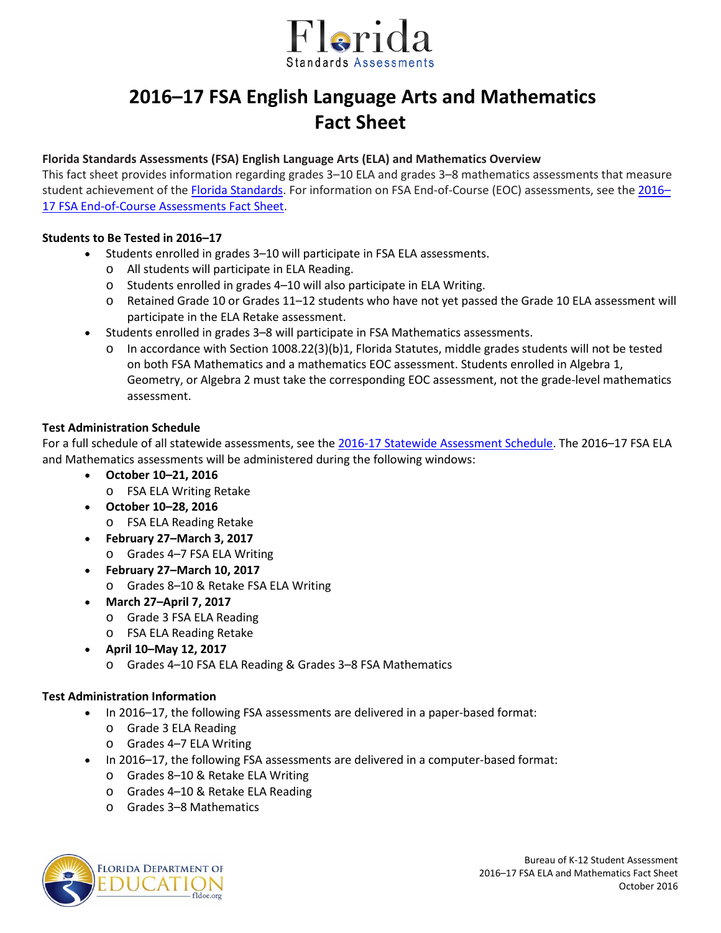

# **2016–17 FSA English Language Arts and Mathematics Fact Sheet**

## **Florida Standards Assessments (FSA) English Language Arts (ELA) and Mathematics Overview**

This fact sheet provides information regarding grades 3–10 ELA and grades 3–8 mathematics assessments that measure student achievement of the [Florida Standards.](http://www.cpalms.org/Public/) For information on FSA End-of-Course (EOC) assessments, see the [2016–](http://www.fldoe.org/core/fileparse.php/5663/urlt/FSAEOC1516.pdf) [17 FSA End-of-Course Assessments Fact Sheet.](http://www.fldoe.org/core/fileparse.php/5663/urlt/FSAEOC1516.pdf)

## **Students to Be Tested in 2016–17**

- Students enrolled in grades 3–10 will participate in FSA ELA assessments.
	- o All students will participate in ELA Reading.
	- o Students enrolled in grades 4–10 will also participate in ELA Writing.
	- o Retained Grade 10 or Grades 11–12 students who have not yet passed the Grade 10 ELA assessment will participate in the ELA Retake assessment.
- Students enrolled in grades 3–8 will participate in FSA Mathematics assessments.
	- o In accordance with Section 1008.22(3)(b)1, Florida Statutes, middle grades students will not be tested on both FSA Mathematics and a mathematics EOC assessment. Students enrolled in Algebra 1, Geometry, or Algebra 2 must take the corresponding EOC assessment, not the grade-level mathematics assessment.

## **Test Administration Schedule**

For a full schedule of all statewide assessments, see the [2016-17 Statewide Assessment Schedule.](http://info.fldoe.org/docushare/dsweb/Get/Document-7514/dps-2015-175a.pdf) The 2016–17 FSA ELA and Mathematics assessments will be administered during the following windows:

- **October 10–21, 2016**
	- o FSA ELA Writing Retake
- **October 10–28, 2016**
	- o FSA ELA Reading Retake
- **February 27–March 3, 2017**
	- o Grades 4–7 FSA ELA Writing
- **February 27–March 10, 2017**
	- o Grades 8–10 & Retake FSA ELA Writing
- **March 27–April 7, 2017**
	- o Grade 3 FSA ELA Reading
	- o FSA ELA Reading Retake
- **April 10–May 12, 2017**
	- o Grades 4–10 FSA ELA Reading & Grades 3–8 FSA Mathematics

#### **Test Administration Information**

- In 2016–17, the following FSA assessments are delivered in a paper-based format:
	- o Grade 3 ELA Reading
	- o Grades 4–7 ELA Writing
- In 2016–17, the following FSA assessments are delivered in a computer-based format:
	- o Grades 8–10 & Retake ELA Writing
	- o Grades 4–10 & Retake ELA Reading
	- o Grades 3–8 Mathematics

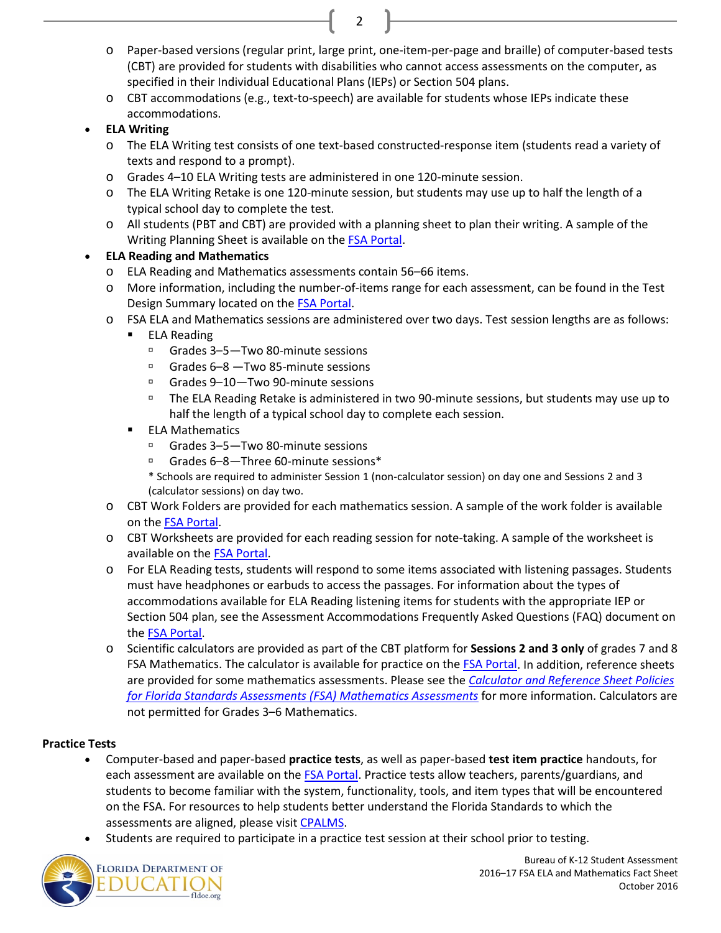- o Paper-based versions (regular print, large print, one-item-per-page and braille) of computer-based tests (CBT) are provided for students with disabilities who cannot access assessments on the computer, as specified in their Individual Educational Plans (IEPs) or Section 504 plans.
- o CBT accommodations (e.g., text-to-speech) are available for students whose IEPs indicate these accommodations.

2

## • **ELA Writing**

- o The ELA Writing test consists of one text-based constructed-response item (students read a variety of texts and respond to a prompt).
- o Grades 4–10 ELA Writing tests are administered in one 120-minute session.
- o The ELA Writing Retake is one 120-minute session, but students may use up to half the length of a typical school day to complete the test.
- o All students (PBT and CBT) are provided with a planning sheet to plan their writing. A sample of the Writing Planning Sheet is available on th[e FSA Portal](http://fsassessments.org/).

## • **ELA Reading and Mathematics**

- o ELA Reading and Mathematics assessments contain 56–66 items.
- o More information, including the number-of-items range for each assessment, can be found in the Test Design Summary located on th[e FSA Portal.](http://fsassessments.org/)
- o FSA ELA and Mathematics sessions are administered over two days. Test session lengths are as follows:
	- ELA Reading
		- Grades 3–5—Two 80-minute sessions
		- □ Grades 6–8 Two 85-minute sessions
		- Grades 9–10—Two 90-minute sessions
		- The ELA Reading Retake is administered in two 90-minute sessions, but students may use up to half the length of a typical school day to complete each session.
	- ELA Mathematics
		- Grades 3–5—Two 80-minute sessions
		- Grades 6–8—Three 60-minute sessions\*
		- \* Schools are required to administer Session 1 (non-calculator session) on day one and Sessions 2 and 3 (calculator sessions) on day two.
- o CBT Work Folders are provided for each mathematics session. A sample of the work folder is available on th[e FSA Portal.](http://fsassessments.org/)
- o CBT Worksheets are provided for each reading session for note-taking. A sample of the worksheet is available on the [FSA Portal.](http://fsassessments.org/)
- o For ELA Reading tests, students will respond to some items associated with listening passages. Students must have headphones or earbuds to access the passages. For information about the types of accommodations available for ELA Reading listening items for students with the appropriate IEP or Section 504 plan, see the Assessment Accommodations Frequently Asked Questions (FAQ) document on the FSA [Portal.](http://www.fsassessments.org/students-and-families/)
- o Scientific calculators are provided as part of the CBT platform for **Sessions 2 and 3 only** of grades 7 and 8 FSA Mathematics. The calculator is available for practice on th[e FSA Portal.](http://www.fsassessments.org/) In addition, reference sheets are provided for some mathematics assessments. Please see the *[Calculator and Reference Sheet Policies](http://www.fsassessments.org/wp-content/uploads/2014/06/FSA-Calculator-and-Reference-Sheet-Policy-Updated-07062016.pdf)  [for Florida Standards Assessments \(FSA\) Mathematics Assessments](http://www.fsassessments.org/wp-content/uploads/2014/06/FSA-Calculator-and-Reference-Sheet-Policy-Updated-07062016.pdf)* for more information. Calculators are not permitted for Grades 3–6 Mathematics.

## **Practice Tests**

- Computer-based and paper-based **practice tests**, as well as paper-based **test item practice** handouts, for each assessment are available on the [FSA Portal.](http://fsassessments.org/) Practice tests allow teachers, parents/guardians, and students to become familiar with the system, functionality, tools, and item types that will be encountered on the FSA. For resources to help students better understand the Florida Standards to which the assessments are aligned, please visit [CPALMS.](http://www.floridastandards.org/)
- Students are required to participate in a practice test session at their school prior to testing.

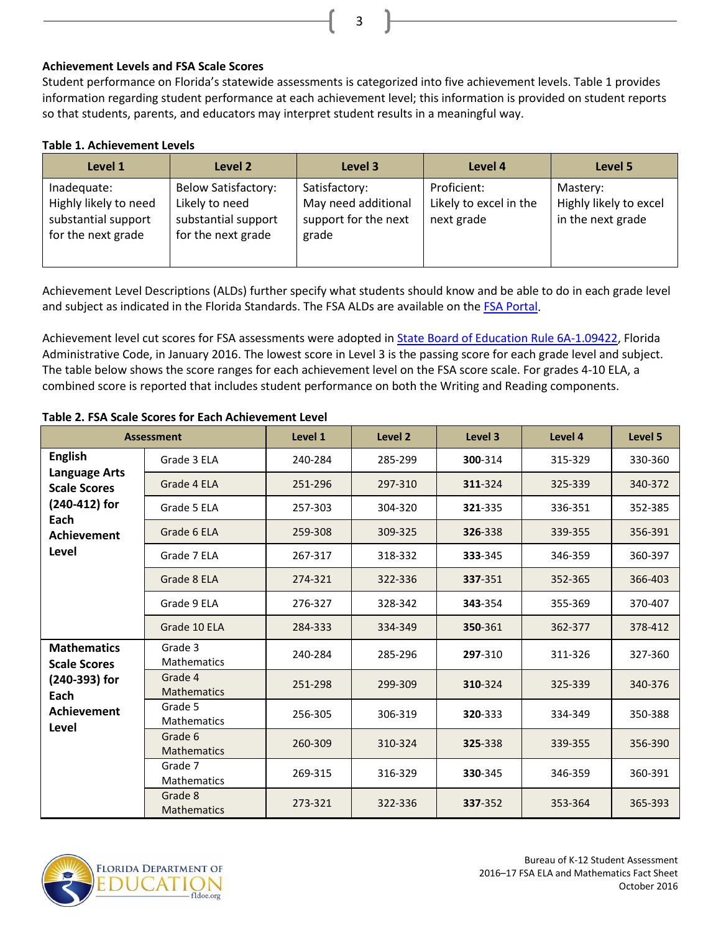## **Achievement Levels and FSA Scale Scores**

Student performance on Florida's statewide assessments is categorized into five achievement levels. Table 1 provides information regarding student performance at each achievement level; this information is provided on student reports so that students, parents, and educators may interpret student results in a meaningful way.

3

#### **Table 1. Achievement Levels**

| Level 1                                                                           | Level 2                                                                                   | Level 3                                                               | Level 4                                             | Level 5                                                 |
|-----------------------------------------------------------------------------------|-------------------------------------------------------------------------------------------|-----------------------------------------------------------------------|-----------------------------------------------------|---------------------------------------------------------|
| Inadequate:<br>Highly likely to need<br>substantial support<br>for the next grade | <b>Below Satisfactory:</b><br>Likely to need<br>substantial support<br>for the next grade | Satisfactory:<br>May need additional<br>support for the next<br>grade | Proficient:<br>Likely to excel in the<br>next grade | Mastery:<br>Highly likely to excel<br>in the next grade |

Achievement Level Descriptions (ALDs) further specify what students should know and be able to do in each grade level and subject as indicated in the Florida Standards. The FSA ALDs are available on the [FSA Portal.](http://www.fsassessments.org/)

Achievement level cut scores for FSA assessments were adopted in **State Board of Education Rule 6A-1.09422**, Florida Administrative Code, in January 2016. The lowest score in Level 3 is the passing score for each grade level and subject. The table below shows the score ranges for each achievement level on the FSA score scale. For grades 4-10 ELA, a combined score is reported that includes student performance on both the Writing and Reading components.

| <b>Assessment</b>                                                                                                     |                               | Level 1 | Level 2 | Level 3 | Level 4 | Level 5 |
|-----------------------------------------------------------------------------------------------------------------------|-------------------------------|---------|---------|---------|---------|---------|
| <b>English</b><br><b>Language Arts</b><br><b>Scale Scores</b><br>(240-412) for<br>Each<br><b>Achievement</b><br>Level | Grade 3 ELA                   | 240-284 | 285-299 | 300-314 | 315-329 | 330-360 |
|                                                                                                                       | Grade 4 ELA                   | 251-296 | 297-310 | 311-324 | 325-339 | 340-372 |
|                                                                                                                       | Grade 5 ELA                   | 257-303 | 304-320 | 321-335 | 336-351 | 352-385 |
|                                                                                                                       | Grade 6 ELA                   | 259-308 | 309-325 | 326-338 | 339-355 | 356-391 |
|                                                                                                                       | Grade 7 ELA                   | 267-317 | 318-332 | 333-345 | 346-359 | 360-397 |
|                                                                                                                       | Grade 8 ELA                   | 274-321 | 322-336 | 337-351 | 352-365 | 366-403 |
|                                                                                                                       | Grade 9 ELA                   | 276-327 | 328-342 | 343-354 | 355-369 | 370-407 |
|                                                                                                                       | Grade 10 ELA                  | 284-333 | 334-349 | 350-361 | 362-377 | 378-412 |
| <b>Mathematics</b><br><b>Scale Scores</b><br>(240-393) for<br>Each<br><b>Achievement</b><br>Level                     | Grade 3<br><b>Mathematics</b> | 240-284 | 285-296 | 297-310 | 311-326 | 327-360 |
|                                                                                                                       | Grade 4<br><b>Mathematics</b> | 251-298 | 299-309 | 310-324 | 325-339 | 340-376 |
|                                                                                                                       | Grade 5<br><b>Mathematics</b> | 256-305 | 306-319 | 320-333 | 334-349 | 350-388 |
|                                                                                                                       | Grade 6<br><b>Mathematics</b> | 260-309 | 310-324 | 325-338 | 339-355 | 356-390 |
|                                                                                                                       | Grade 7<br><b>Mathematics</b> | 269-315 | 316-329 | 330-345 | 346-359 | 360-391 |
|                                                                                                                       | Grade 8<br><b>Mathematics</b> | 273-321 | 322-336 | 337-352 | 353-364 | 365-393 |

#### **Table 2. FSA Scale Scores for Each Achievement Level**